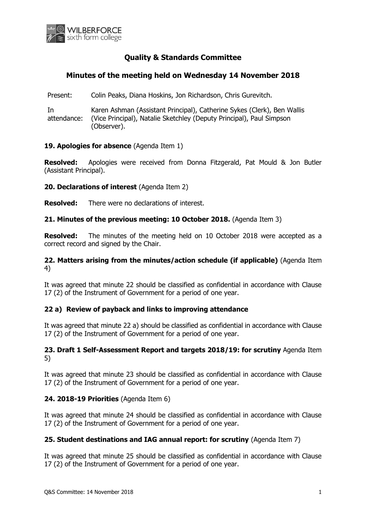

# **Quality & Standards Committee**

# **Minutes of the meeting held on Wednesday 14 November 2018**

Present: Colin Peaks, Diana Hoskins, Jon Richardson, Chris Gurevitch.

In attendance: Karen Ashman (Assistant Principal), Catherine Sykes (Clerk), Ben Wallis (Vice Principal), Natalie Sketchley (Deputy Principal), Paul Simpson (Observer).

### **19. Apologies for absence** (Agenda Item 1)

**Resolved:** Apologies were received from Donna Fitzgerald, Pat Mould & Jon Butler (Assistant Principal).

**20. Declarations of interest** (Agenda Item 2)

**Resolved:** There were no declarations of interest.

### **21. Minutes of the previous meeting: 10 October 2018.** (Agenda Item 3)

**Resolved:** The minutes of the meeting held on 10 October 2018 were accepted as a correct record and signed by the Chair.

### **22. Matters arising from the minutes/action schedule (if applicable)** (Agenda Item 4)

It was agreed that minute 22 should be classified as confidential in accordance with Clause 17 (2) of the Instrument of Government for a period of one year.

# **22 a) Review of payback and links to improving attendance**

It was agreed that minute 22 a) should be classified as confidential in accordance with Clause 17 (2) of the Instrument of Government for a period of one year.

### **23. Draft 1 Self-Assessment Report and targets 2018/19: for scrutiny** Agenda Item 5)

It was agreed that minute 23 should be classified as confidential in accordance with Clause 17 (2) of the Instrument of Government for a period of one year.

### **24. 2018-19 Priorities** (Agenda Item 6)

It was agreed that minute 24 should be classified as confidential in accordance with Clause 17 (2) of the Instrument of Government for a period of one year.

### **25. Student destinations and IAG annual report: for scrutiny** (Agenda Item 7)

It was agreed that minute 25 should be classified as confidential in accordance with Clause 17 (2) of the Instrument of Government for a period of one year.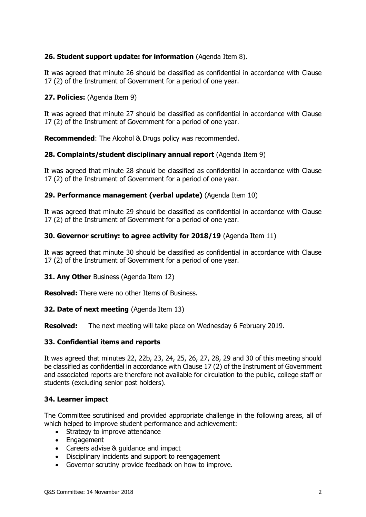# **26. Student support update: for information** (Agenda Item 8).

It was agreed that minute 26 should be classified as confidential in accordance with Clause 17 (2) of the Instrument of Government for a period of one year.

## **27. Policies:** (Agenda Item 9)

It was agreed that minute 27 should be classified as confidential in accordance with Clause 17 (2) of the Instrument of Government for a period of one year.

**Recommended**: The Alcohol & Drugs policy was recommended.

### **28. Complaints/student disciplinary annual report** (Agenda Item 9)

It was agreed that minute 28 should be classified as confidential in accordance with Clause 17 (2) of the Instrument of Government for a period of one year.

### **29. Performance management (verbal update)** (Agenda Item 10)

It was agreed that minute 29 should be classified as confidential in accordance with Clause 17 (2) of the Instrument of Government for a period of one year.

### **30. Governor scrutiny: to agree activity for 2018/19** (Agenda Item 11)

It was agreed that minute 30 should be classified as confidential in accordance with Clause 17 (2) of the Instrument of Government for a period of one year.

**31. Any Other** Business (Agenda Item 12)

**Resolved:** There were no other Items of Business.

### **32. Date of next meeting** (Agenda Item 13)

**Resolved:** The next meeting will take place on Wednesday 6 February 2019.

### **33. Confidential items and reports**

It was agreed that minutes 22, 22b, 23, 24, 25, 26, 27, 28, 29 and 30 of this meeting should be classified as confidential in accordance with Clause 17 (2) of the Instrument of Government and associated reports are therefore not available for circulation to the public, college staff or students (excluding senior post holders).

### **34. Learner impact**

The Committee scrutinised and provided appropriate challenge in the following areas, all of which helped to improve student performance and achievement:

- Strategy to improve attendance
- Engagement
- Careers advise & quidance and impact
- Disciplinary incidents and support to reengagement
- Governor scrutiny provide feedback on how to improve.